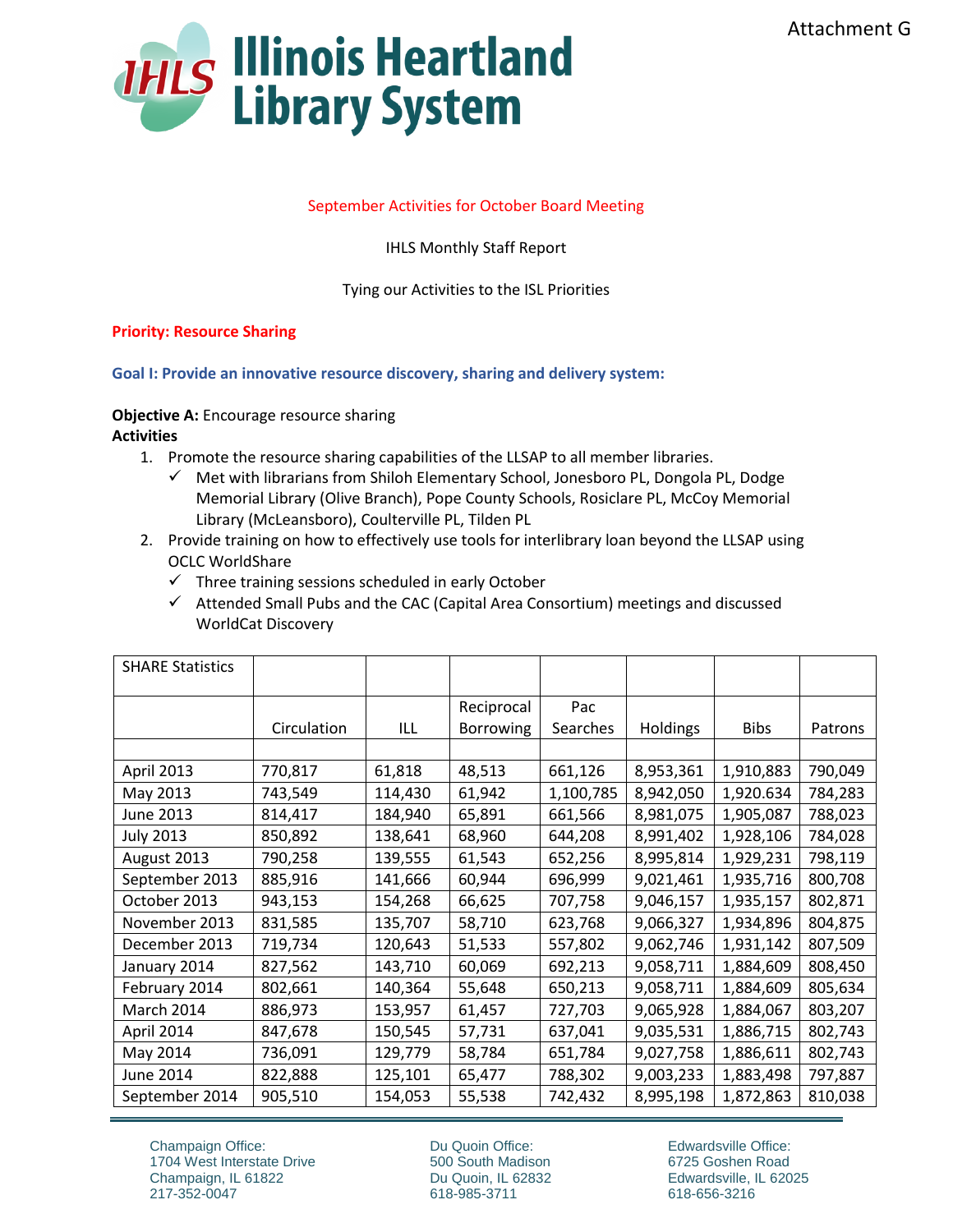

#### September Activities for October Board Meeting

IHLS Monthly Staff Report

Tying our Activities to the ISL Priorities

#### **Priority: Resource Sharing**

**Goal I: Provide an innovative resource discovery, sharing and delivery system:** 

**Objective A:** Encourage resource sharing **Activities**

- 1. Promote the resource sharing capabilities of the LLSAP to all member libraries.
	- $\checkmark$  Met with librarians from Shiloh Elementary School, Jonesboro PL, Dongola PL, Dodge Memorial Library (Olive Branch), Pope County Schools, Rosiclare PL, McCoy Memorial Library (McLeansboro), Coulterville PL, Tilden PL
- 2. Provide training on how to effectively use tools for interlibrary loan beyond the LLSAP using OCLC WorldShare
	- $\checkmark$  Three training sessions scheduled in early October
	- $\checkmark$  Attended Small Pubs and the CAC (Capital Area Consortium) meetings and discussed WorldCat Discovery

| <b>SHARE Statistics</b> |             |         |                                |                 |                 |             |         |
|-------------------------|-------------|---------|--------------------------------|-----------------|-----------------|-------------|---------|
|                         | Circulation | ILL     | Reciprocal<br><b>Borrowing</b> | Pac<br>Searches | <b>Holdings</b> | <b>Bibs</b> | Patrons |
|                         |             |         |                                |                 |                 |             |         |
| April 2013              | 770,817     | 61,818  | 48,513                         | 661,126         | 8,953,361       | 1,910,883   | 790,049 |
| May 2013                | 743,549     | 114,430 | 61,942                         | 1,100,785       | 8,942,050       | 1,920.634   | 784,283 |
| June 2013               | 814,417     | 184,940 | 65,891                         | 661,566         | 8,981,075       | 1,905,087   | 788,023 |
| <b>July 2013</b>        | 850,892     | 138,641 | 68,960                         | 644,208         | 8,991,402       | 1,928,106   | 784,028 |
| August 2013             | 790,258     | 139,555 | 61,543                         | 652,256         | 8,995,814       | 1,929,231   | 798,119 |
| September 2013          | 885,916     | 141,666 | 60,944                         | 696,999         | 9,021,461       | 1,935,716   | 800,708 |
| October 2013            | 943,153     | 154,268 | 66,625                         | 707,758         | 9,046,157       | 1,935,157   | 802,871 |
| November 2013           | 831,585     | 135,707 | 58,710                         | 623,768         | 9,066,327       | 1,934,896   | 804,875 |
| December 2013           | 719,734     | 120,643 | 51,533                         | 557,802         | 9,062,746       | 1,931,142   | 807,509 |
| January 2014            | 827,562     | 143,710 | 60,069                         | 692,213         | 9,058,711       | 1,884,609   | 808,450 |
| February 2014           | 802,661     | 140,364 | 55,648                         | 650,213         | 9,058,711       | 1,884,609   | 805,634 |
| March 2014              | 886,973     | 153,957 | 61,457                         | 727,703         | 9,065,928       | 1,884,067   | 803,207 |
| April 2014              | 847,678     | 150,545 | 57,731                         | 637,041         | 9,035,531       | 1,886,715   | 802,743 |
| May 2014                | 736,091     | 129,779 | 58,784                         | 651,784         | 9,027,758       | 1,886,611   | 802,743 |
| June 2014               | 822,888     | 125,101 | 65,477                         | 788,302         | 9,003,233       | 1,883,498   | 797,887 |
| September 2014          | 905,510     | 154,053 | 55,538                         | 742,432         | 8,995,198       | 1,872,863   | 810,038 |

Champaign Office: 1704 West Interstate Drive Champaign, IL 61822 217-352-0047

Du Quoin Office: 500 South Madison Du Quoin, IL 62832 618-985-3711

Edwardsville Office: 6725 Goshen Road Edwardsville, IL 62025 618-656-3216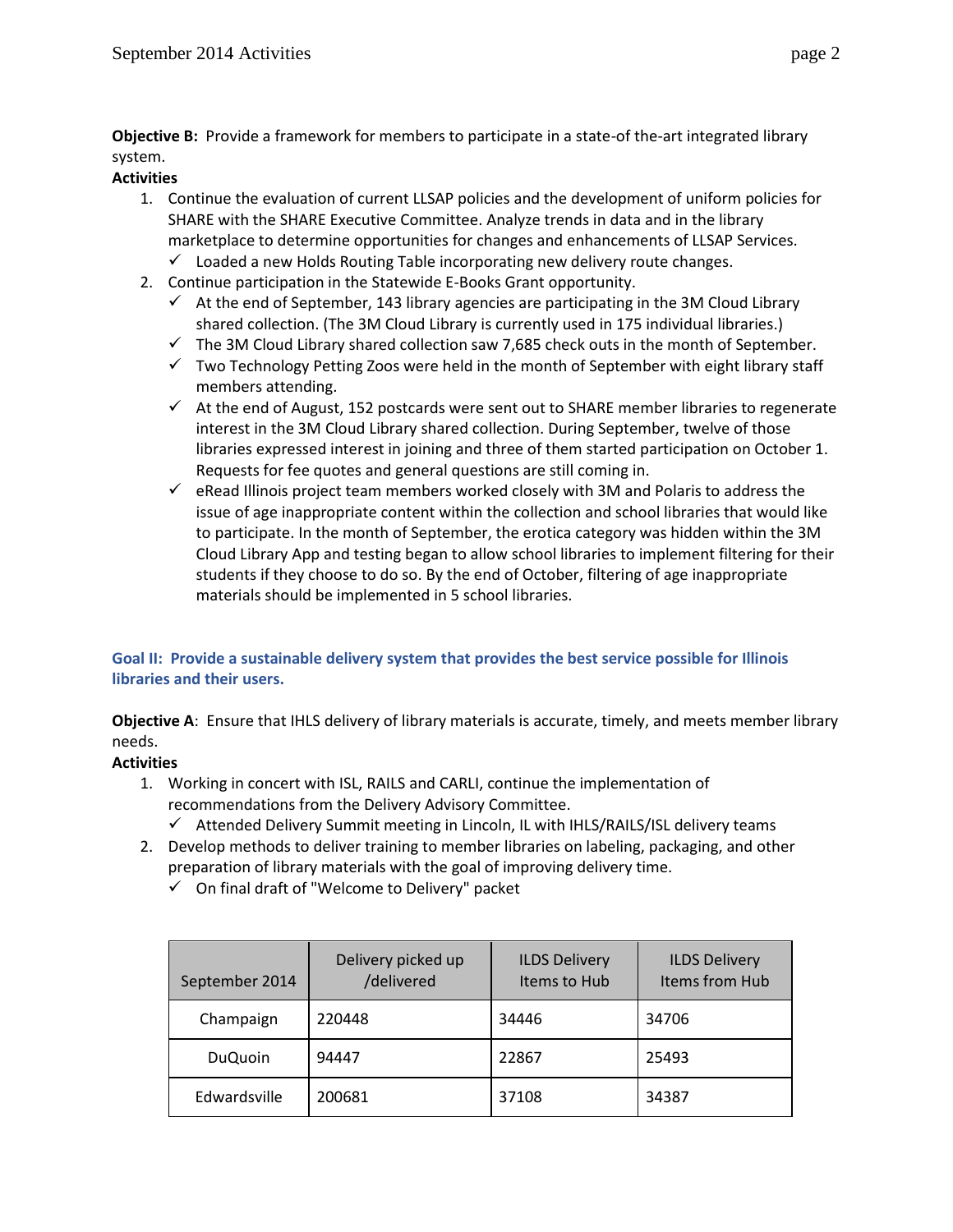**Objective B:** Provide a framework for members to participate in a state-of the-art integrated library system.

## **Activities**

- 1. Continue the evaluation of current LLSAP policies and the development of uniform policies for SHARE with the SHARE Executive Committee. Analyze trends in data and in the library marketplace to determine opportunities for changes and enhancements of LLSAP Services.
	- $\checkmark$  Loaded a new Holds Routing Table incorporating new delivery route changes.
- 2. Continue participation in the Statewide E-Books Grant opportunity.
	- $\checkmark$  At the end of September, 143 library agencies are participating in the 3M Cloud Library shared collection. (The 3M Cloud Library is currently used in 175 individual libraries.)
	- $\checkmark$  The 3M Cloud Library shared collection saw 7,685 check outs in the month of September.
	- $\checkmark$  Two Technology Petting Zoos were held in the month of September with eight library staff members attending.
	- $\checkmark$  At the end of August, 152 postcards were sent out to SHARE member libraries to regenerate interest in the 3M Cloud Library shared collection. During September, twelve of those libraries expressed interest in joining and three of them started participation on October 1. Requests for fee quotes and general questions are still coming in.
	- $\checkmark$  eRead Illinois project team members worked closely with 3M and Polaris to address the issue of age inappropriate content within the collection and school libraries that would like to participate. In the month of September, the erotica category was hidden within the 3M Cloud Library App and testing began to allow school libraries to implement filtering for their students if they choose to do so. By the end of October, filtering of age inappropriate materials should be implemented in 5 school libraries.

# **Goal II: Provide a sustainable delivery system that provides the best service possible for Illinois libraries and their users.**

**Objective A**: Ensure that IHLS delivery of library materials is accurate, timely, and meets member library needs.

# **Activities**

- 1. Working in concert with ISL, RAILS and CARLI, continue the implementation of recommendations from the Delivery Advisory Committee.
	- $\checkmark$  Attended Delivery Summit meeting in Lincoln, IL with IHLS/RAILS/ISL delivery teams
- 2. Develop methods to deliver training to member libraries on labeling, packaging, and other preparation of library materials with the goal of improving delivery time.
	- $\checkmark$  On final draft of "Welcome to Delivery" packet

| September 2014 | Delivery picked up<br>/delivered | <b>ILDS Delivery</b><br>Items to Hub | <b>ILDS Delivery</b><br>Items from Hub |
|----------------|----------------------------------|--------------------------------------|----------------------------------------|
| Champaign      | 220448                           | 34446                                | 34706                                  |
| <b>DuQuoin</b> | 94447                            | 22867                                | 25493                                  |
| Edwardsville   | 200681                           | 37108                                | 34387                                  |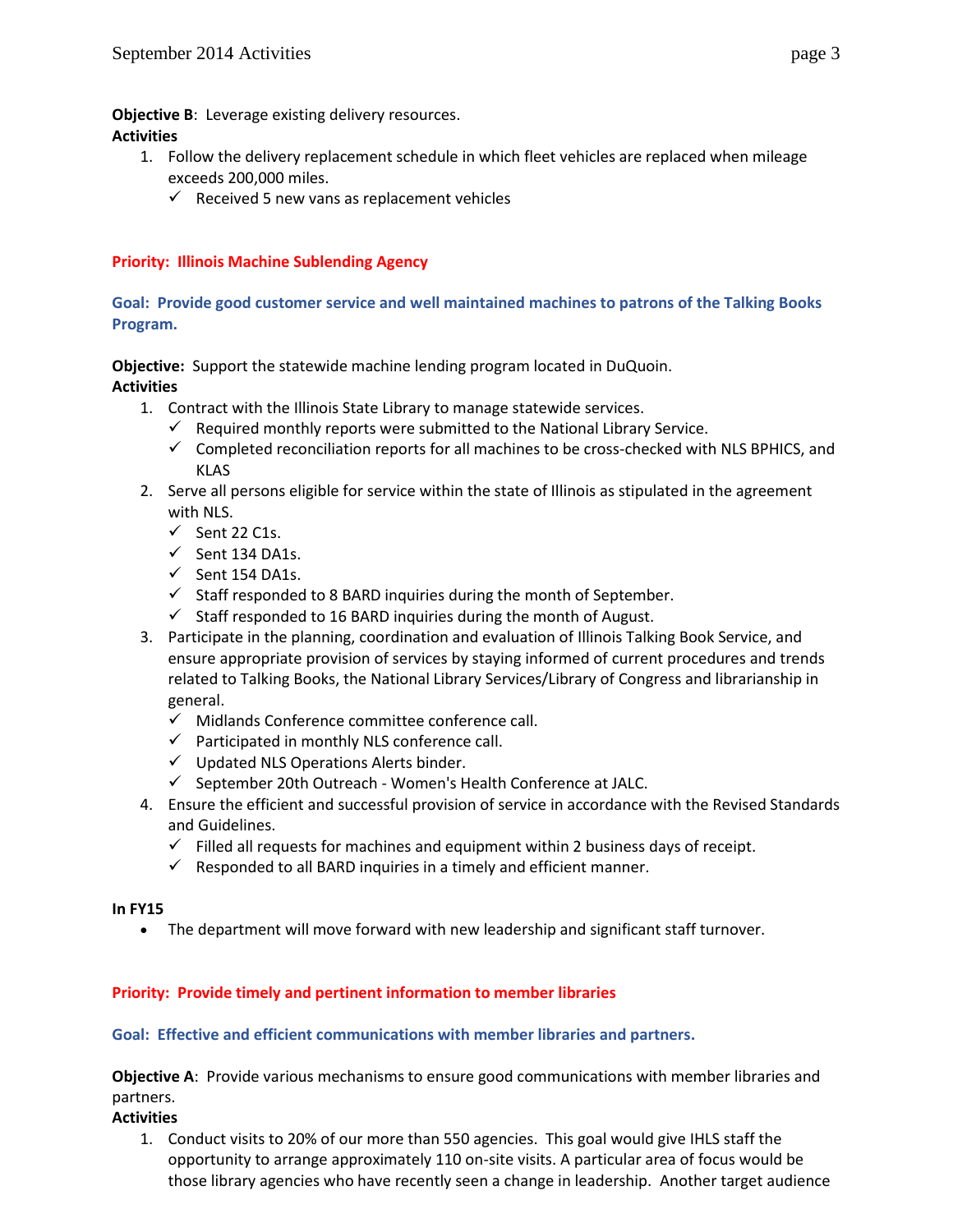**Objective B**: Leverage existing delivery resources.

### **Activities**

- 1. Follow the delivery replacement schedule in which fleet vehicles are replaced when mileage exceeds 200,000 miles.
	- $\checkmark$  Received 5 new vans as replacement vehicles

# **Priority: Illinois Machine Sublending Agency**

### **Goal: Provide good customer service and well maintained machines to patrons of the Talking Books Program.**

**Objective:** Support the statewide machine lending program located in DuQuoin. **Activities**

- - 1. Contract with the Illinois State Library to manage statewide services.  $\checkmark$  Required monthly reports were submitted to the National Library Service.
		- $\checkmark$  Completed reconciliation reports for all machines to be cross-checked with NLS BPHICS, and KLAS
	- 2. Serve all persons eligible for service within the state of Illinois as stipulated in the agreement with NLS.
		- $\checkmark$  Sent 22 C1s.
		- $\checkmark$  Sent 134 DA1s.
		- $\checkmark$  Sent 154 DA1s.
		- $\checkmark$  Staff responded to 8 BARD inquiries during the month of September.
		- $\checkmark$  Staff responded to 16 BARD inquiries during the month of August.
	- 3. Participate in the planning, coordination and evaluation of Illinois Talking Book Service, and ensure appropriate provision of services by staying informed of current procedures and trends related to Talking Books, the National Library Services/Library of Congress and librarianship in general.
		- $\checkmark$  Midlands Conference committee conference call.
		- $\checkmark$  Participated in monthly NLS conference call.
		- $\checkmark$  Updated NLS Operations Alerts binder.
		- $\checkmark$  September 20th Outreach Women's Health Conference at JALC.
	- 4. Ensure the efficient and successful provision of service in accordance with the Revised Standards and Guidelines.
		- $\checkmark$  Filled all requests for machines and equipment within 2 business days of receipt.
		- $\checkmark$  Responded to all BARD inquiries in a timely and efficient manner.

#### **In FY15**

The department will move forward with new leadership and significant staff turnover.

### **Priority: Provide timely and pertinent information to member libraries**

#### **Goal: Effective and efficient communications with member libraries and partners.**

**Objective A**: Provide various mechanisms to ensure good communications with member libraries and partners.

#### **Activities**

1. Conduct visits to 20% of our more than 550 agencies. This goal would give IHLS staff the opportunity to arrange approximately 110 on-site visits. A particular area of focus would be those library agencies who have recently seen a change in leadership. Another target audience